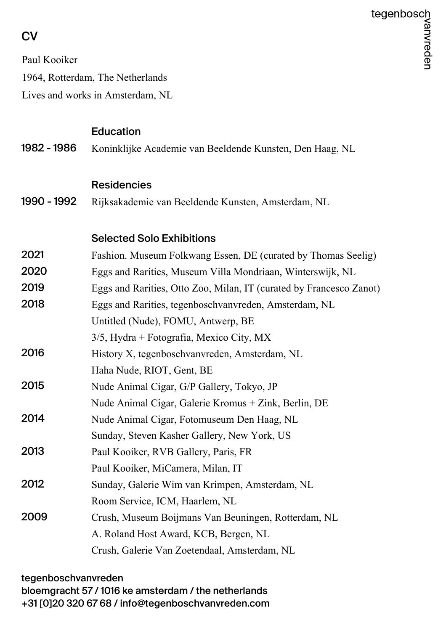# **CV**

Paul Kooiker

1964, Rotterdam, The Netherlands

Lives and works in Amsterdam, NL

# Education

1982 - 1986 Koninklijke Academie van Beeldende Kunsten, Den Haag, NL

#### Residencies

1990 - 1992 Rijksakademie van Beeldende Kunsten, Amsterdam, NL

## Selected Solo Exhibitions

| 2021 | Fashion. Museum Folkwang Essen, DE (curated by Thomas Seelig)       |
|------|---------------------------------------------------------------------|
| 2020 | Eggs and Rarities, Museum Villa Mondriaan, Winterswijk, NL          |
| 2019 | Eggs and Rarities, Otto Zoo, Milan, IT (curated by Francesco Zanot) |
| 2018 | Eggs and Rarities, tegenboschvanvreden, Amsterdam, NL               |
|      | Untitled (Nude), FOMU, Antwerp, BE                                  |
|      | $3/5$ , Hydra + Fotografia, Mexico City, MX                         |
| 2016 | History X, tegenboschvanvreden, Amsterdam, NL                       |
|      | Haha Nude, RIOT, Gent, BE                                           |
| 2015 | Nude Animal Cigar, G/P Gallery, Tokyo, JP                           |
|      | Nude Animal Cigar, Galerie Kromus + Zink, Berlin, DE                |
| 2014 | Nude Animal Cigar, Fotomuseum Den Haag, NL                          |
|      | Sunday, Steven Kasher Gallery, New York, US                         |
| 2013 | Paul Kooiker, RVB Gallery, Paris, FR                                |
|      | Paul Kooiker, MiCamera, Milan, IT                                   |
| 2012 | Sunday, Galerie Wim van Krimpen, Amsterdam, NL                      |
|      | Room Service, ICM, Haarlem, NL                                      |
| 2009 | Crush, Museum Boijmans Van Beuningen, Rotterdam, NL                 |
|      | A. Roland Host Award, KCB, Bergen, NL                               |
|      | Crush, Galerie Van Zoetendaal, Amsterdam, NL                        |

#### tegenboschvanvreden

bloemgracht 57 / 1016 ke amsterdam / the netherlands +31 [0]20 320 67 68 / info@tegenboschvanvreden.com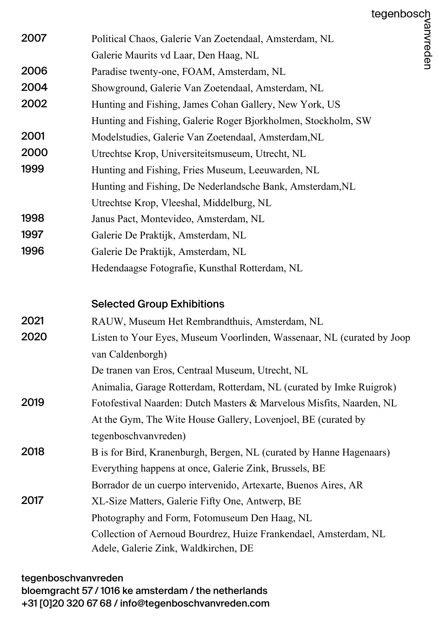|      | tegenbosch                                                             |           |
|------|------------------------------------------------------------------------|-----------|
| 2007 | Political Chaos, Galerie Van Zoetendaal, Amsterdam, NL                 | /anvreden |
|      | Galerie Maurits vd Laar, Den Haag, NL                                  |           |
| 2006 | Paradise twenty-one, FOAM, Amsterdam, NL                               |           |
| 2004 | Showground, Galerie Van Zoetendaal, Amsterdam, NL                      |           |
| 2002 | Hunting and Fishing, James Cohan Gallery, New York, US                 |           |
|      | Hunting and Fishing, Galerie Roger Bjorkholmen, Stockholm, SW          |           |
| 2001 | Modelstudies, Galerie Van Zoetendaal, Amsterdam, NL                    |           |
| 2000 | Utrechtse Krop, Universiteitsmuseum, Utrecht, NL                       |           |
| 1999 | Hunting and Fishing, Fries Museum, Leeuwarden, NL                      |           |
|      | Hunting and Fishing, De Nederlandsche Bank, Amsterdam, NL              |           |
|      | Utrechtse Krop, Vleeshal, Middelburg, NL                               |           |
| 1998 | Janus Pact, Montevideo, Amsterdam, NL                                  |           |
| 1997 | Galerie De Praktijk, Amsterdam, NL                                     |           |
| 1996 | Galerie De Praktijk, Amsterdam, NL                                     |           |
|      | Hedendaagse Fotografie, Kunsthal Rotterdam, NL                         |           |
|      | <b>Selected Group Exhibitions</b>                                      |           |
| 2021 | RAUW, Museum Het Rembrandthuis, Amsterdam, NL                          |           |
| 2020 | Listen to Your Eyes, Museum Voorlinden, Wassenaar, NL (curated by Joop |           |
|      | van Caldenborgh)                                                       |           |
|      | De tranen van Eros, Centraal Museum, Utrecht, NL                       |           |
|      | Animalia, Garage Rotterdam, Rotterdam, NL (curated by Imke Ruigrok)    |           |
| 2019 | Fotofestival Naarden: Dutch Masters & Marvelous Misfits, Naarden, NL   |           |
|      | At the Gym, The Wite House Gallery, Lovenjoel, BE (curated by          |           |
|      | tegenboschvanvreden)                                                   |           |
| 2018 | B is for Bird, Kranenburgh, Bergen, NL (curated by Hanne Hagenaars)    |           |
|      | Everything happens at once, Galerie Zink, Brussels, BE                 |           |
|      | Borrador de un cuerpo intervenido, Artexarte, Buenos Aires, AR         |           |
| 2017 | XL-Size Matters, Galerie Fifty One, Antwerp, BE                        |           |
|      | Photography and Form, Fotomuseum Den Haag, NL                          |           |
|      | Collection of Aernoud Bourdrez, Huize Frankendael, Amsterdam, NL       |           |
|      | Adele, Galerie Zink, Waldkirchen, DE                                   |           |
|      |                                                                        |           |

tegenboschvanvreden bloemgracht 57 / 1016 ke amsterdam / the netherlands +31 [0]20 320 67 68 / info@tegenboschvanvreden.com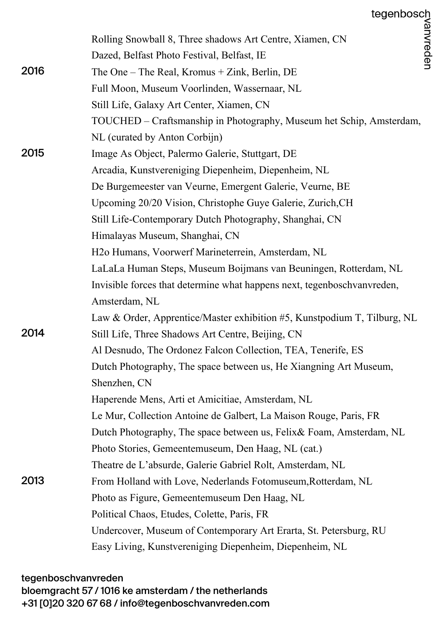|      | Rolling Snowball 8, Three shadows Art Centre, Xiamen, CN                 |
|------|--------------------------------------------------------------------------|
|      | Dazed, Belfast Photo Festival, Belfast, IE                               |
| 2016 | The One – The Real, Kromus $+$ Zink, Berlin, DE                          |
|      | Full Moon, Museum Voorlinden, Wassernaar, NL                             |
|      | Still Life, Galaxy Art Center, Xiamen, CN                                |
|      | TOUCHED – Craftsmanship in Photography, Museum het Schip, Amsterdam,     |
|      | NL (curated by Anton Corbijn)                                            |
| 2015 | Image As Object, Palermo Galerie, Stuttgart, DE                          |
|      | Arcadia, Kunstvereniging Diepenheim, Diepenheim, NL                      |
|      | De Burgemeester van Veurne, Emergent Galerie, Veurne, BE                 |
|      | Upcoming 20/20 Vision, Christophe Guye Galerie, Zurich, CH               |
|      | Still Life-Contemporary Dutch Photography, Shanghai, CN                  |
|      | Himalayas Museum, Shanghai, CN                                           |
|      | H <sub>2</sub> o Humans, Voorwerf Marineterrein, Amsterdam, NL           |
|      | LaLaLa Human Steps, Museum Boijmans van Beuningen, Rotterdam, NL         |
|      | Invisible forces that determine what happens next, tegenboschvanvreden,  |
|      | Amsterdam, NL                                                            |
|      | Law & Order, Apprentice/Master exhibition #5, Kunstpodium T, Tilburg, NL |
| 2014 | Still Life, Three Shadows Art Centre, Beijing, CN                        |
|      | Al Desnudo, The Ordonez Falcon Collection, TEA, Tenerife, ES             |
|      | Dutch Photography, The space between us, He Xiangning Art Museum,        |
|      | Shenzhen, CN                                                             |
|      | Haperende Mens, Arti et Amicitiae, Amsterdam, NL                         |
|      | Le Mur, Collection Antoine de Galbert, La Maison Rouge, Paris, FR        |
|      | Dutch Photography, The space between us, Felix & Foam, Amsterdam, NL     |
|      | Photo Stories, Gemeentemuseum, Den Haag, NL (cat.)                       |
|      | Theatre de L'absurde, Galerie Gabriel Rolt, Amsterdam, NL                |
| 2013 | From Holland with Love, Nederlands Fotomuseum, Rotterdam, NL             |
|      | Photo as Figure, Gemeentemuseum Den Haag, NL                             |
|      | Political Chaos, Etudes, Colette, Paris, FR                              |
|      | Undercover, Museum of Contemporary Art Erarta, St. Petersburg, RU        |
|      | Easy Living, Kunstvereniging Diepenheim, Diepenheim, NL                  |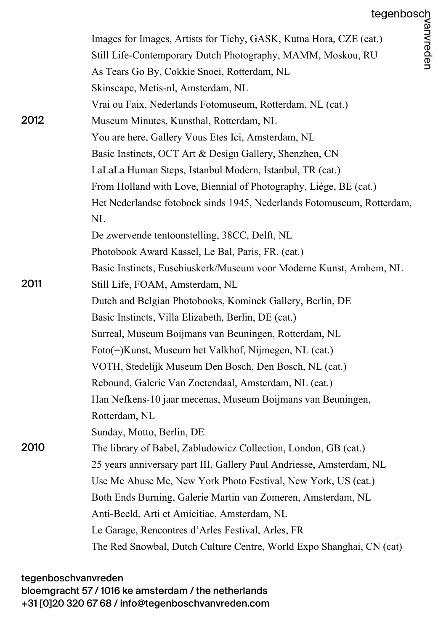|      | Images for Images, Artists for Tichy, GASK, Kutna Hora, CZE (cat.)     |
|------|------------------------------------------------------------------------|
|      | Still Life-Contemporary Dutch Photography, MAMM, Moskou, RU            |
|      | As Tears Go By, Cokkie Snoei, Rotterdam, NL                            |
|      | Skinscape, Metis-nl, Amsterdam, NL                                     |
|      | Vrai ou Faix, Nederlands Fotomuseum, Rotterdam, NL (cat.)              |
| 2012 | Museum Minutes, Kunsthal, Rotterdam, NL                                |
|      | You are here, Gallery Vous Etes Ici, Amsterdam, NL                     |
|      | Basic Instincts, OCT Art & Design Gallery, Shenzhen, CN                |
|      | LaLaLa Human Steps, Istanbul Modern, Istanbul, TR (cat.)               |
|      | From Holland with Love, Biennial of Photography, Liège, BE (cat.)      |
|      | Het Nederlandse fotoboek sinds 1945, Nederlands Fotomuseum, Rotterdam, |
|      | <b>NL</b>                                                              |
|      | De zwervende tentoonstelling, 38CC, Delft, NL                          |
|      | Photobook Award Kassel, Le Bal, Paris, FR. (cat.)                      |
|      | Basic Instincts, Eusebiuskerk/Museum voor Moderne Kunst, Arnhem, NL    |
| 2011 | Still Life, FOAM, Amsterdam, NL                                        |
|      | Dutch and Belgian Photobooks, Kominek Gallery, Berlin, DE              |
|      | Basic Instincts, Villa Elizabeth, Berlin, DE (cat.)                    |
|      | Surreal, Museum Boijmans van Beuningen, Rotterdam, NL                  |
|      | Foto(=)Kunst, Museum het Valkhof, Nijmegen, NL (cat.)                  |
|      | VOTH, Stedelijk Museum Den Bosch, Den Bosch, NL (cat.)                 |
|      | Rebound, Galerie Van Zoetendaal, Amsterdam, NL (cat.)                  |
|      | Han Nefkens-10 jaar mecenas, Museum Boijmans van Beuningen,            |
|      | Rotterdam, NL                                                          |
|      | Sunday, Motto, Berlin, DE                                              |
| 2010 | The library of Babel, Zabludowicz Collection, London, GB (cat.)        |
|      | 25 years anniversary part III, Gallery Paul Andriesse, Amsterdam, NL   |
|      | Use Me Abuse Me, New York Photo Festival, New York, US (cat.)          |
|      | Both Ends Burning, Galerie Martin van Zomeren, Amsterdam, NL           |
|      | Anti-Beeld, Arti et Amicitiae, Amsterdam, NL                           |
|      | Le Garage, Rencontres d'Arles Festival, Arles, FR                      |
|      | The Red Snowbal, Dutch Culture Centre, World Expo Shanghai, CN (cat)   |

tegenboschvanvreden bloemgracht 57 / 1016 ke amsterdam / the netherlands +31 [0]20 320 67 68 / info@tegenboschvanvreden.com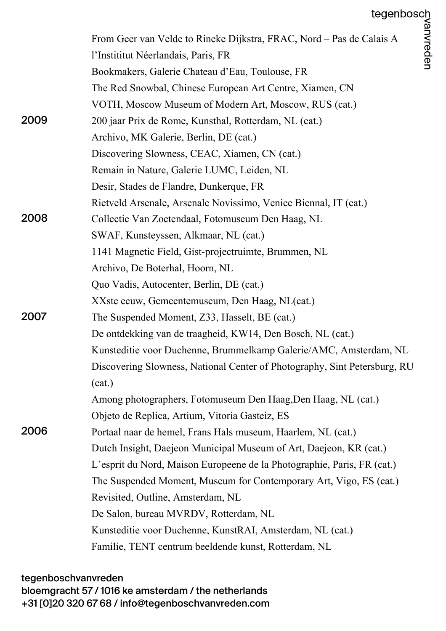|      | tegenbosch<br>alais A<br>alais A<br>Tending                               |  |
|------|---------------------------------------------------------------------------|--|
|      | From Geer van Velde to Rineke Dijkstra, FRAC, Nord – Pas de Calais A      |  |
|      | l'Instititut Néerlandais, Paris, FR                                       |  |
|      | Bookmakers, Galerie Chateau d'Eau, Toulouse, FR                           |  |
|      | The Red Snowbal, Chinese European Art Centre, Xiamen, CN                  |  |
|      | VOTH, Moscow Museum of Modern Art, Moscow, RUS (cat.)                     |  |
| 2009 | 200 jaar Prix de Rome, Kunsthal, Rotterdam, NL (cat.)                     |  |
|      | Archivo, MK Galerie, Berlin, DE (cat.)                                    |  |
|      | Discovering Slowness, CEAC, Xiamen, CN (cat.)                             |  |
|      | Remain in Nature, Galerie LUMC, Leiden, NL                                |  |
|      | Desir, Stades de Flandre, Dunkerque, FR                                   |  |
|      | Rietveld Arsenale, Arsenale Novissimo, Venice Biennal, IT (cat.)          |  |
| 2008 | Collectie Van Zoetendaal, Fotomuseum Den Haag, NL                         |  |
|      | SWAF, Kunsteyssen, Alkmaar, NL (cat.)                                     |  |
|      | 1141 Magnetic Field, Gist-projectruimte, Brummen, NL                      |  |
|      | Archivo, De Boterhal, Hoorn, NL                                           |  |
|      | Quo Vadis, Autocenter, Berlin, DE (cat.)                                  |  |
|      | XXste eeuw, Gemeentemuseum, Den Haag, NL(cat.)                            |  |
| 2007 | The Suspended Moment, Z33, Hasselt, BE (cat.)                             |  |
|      | De ontdekking van de traagheid, KW14, Den Bosch, NL (cat.)                |  |
|      | Kunsteditie voor Duchenne, Brummelkamp Galerie/AMC, Amsterdam, NL         |  |
|      | Discovering Slowness, National Center of Photography, Sint Petersburg, RU |  |
|      | (cat.)                                                                    |  |
|      | Among photographers, Fotomuseum Den Haag, Den Haag, NL (cat.)             |  |
|      | Objeto de Replica, Artium, Vitoria Gasteiz, ES                            |  |
| 2006 | Portaal naar de hemel, Frans Hals museum, Haarlem, NL (cat.)              |  |
|      | Dutch Insight, Daejeon Municipal Museum of Art, Daejeon, KR (cat.)        |  |
|      | L'esprit du Nord, Maison Europeene de la Photographie, Paris, FR (cat.)   |  |
|      | The Suspended Moment, Museum for Contemporary Art, Vigo, ES (cat.)        |  |
|      | Revisited, Outline, Amsterdam, NL                                         |  |
|      | De Salon, bureau MVRDV, Rotterdam, NL                                     |  |
|      | Kunsteditie voor Duchenne, KunstRAI, Amsterdam, NL (cat.)                 |  |
|      | Familie, TENT centrum beeldende kunst, Rotterdam, NL                      |  |

### tegenboschvanvreden

bloemgracht 57 / 1016 ke amsterdam / the netherlands

+31 [0]20 320 67 68 / info@tegenboschvanvreden.com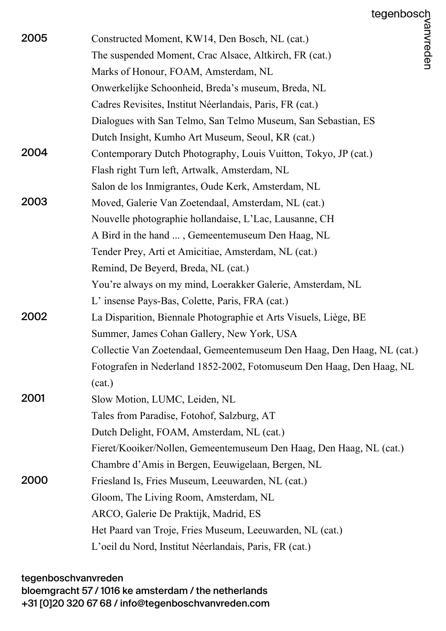|      | tegenbosch                                                             |
|------|------------------------------------------------------------------------|
| 2005 | /anvreden<br>Constructed Moment, KW14, Den Bosch, NL (cat.)            |
|      | The suspended Moment, Crac Alsace, Altkirch, FR (cat.)                 |
|      | Marks of Honour, FOAM, Amsterdam, NL                                   |
|      | Onwerkelijke Schoonheid, Breda's museum, Breda, NL                     |
|      | Cadres Revisites, Institut Néerlandais, Paris, FR (cat.)               |
|      | Dialogues with San Telmo, San Telmo Museum, San Sebastian, ES          |
|      | Dutch Insight, Kumho Art Museum, Seoul, KR (cat.)                      |
| 2004 | Contemporary Dutch Photography, Louis Vuitton, Tokyo, JP (cat.)        |
|      | Flash right Turn left, Artwalk, Amsterdam, NL                          |
|      | Salon de los Inmigrantes, Oude Kerk, Amsterdam, NL                     |
| 2003 | Moved, Galerie Van Zoetendaal, Amsterdam, NL (cat.)                    |
|      | Nouvelle photographie hollandaise, L'Lac, Lausanne, CH                 |
|      | A Bird in the hand , Gemeentemuseum Den Haag, NL                       |
|      | Tender Prey, Arti et Amicitiae, Amsterdam, NL (cat.)                   |
|      | Remind, De Beyerd, Breda, NL (cat.)                                    |
|      | You're always on my mind, Loerakker Galerie, Amsterdam, NL             |
|      | L' insense Pays-Bas, Colette, Paris, FRA (cat.)                        |
| 2002 | La Disparition, Biennale Photographie et Arts Visuels, Liège, BE       |
|      | Summer, James Cohan Gallery, New York, USA                             |
|      | Collectie Van Zoetendaal, Gemeentemuseum Den Haag, Den Haag, NL (cat.) |
|      | Fotografen in Nederland 1852-2002, Fotomuseum Den Haag, Den Haag, NL   |
|      | (cat.)                                                                 |
| 2001 | Slow Motion, LUMC, Leiden, NL                                          |
|      | Tales from Paradise, Fotohof, Salzburg, AT                             |
|      | Dutch Delight, FOAM, Amsterdam, NL (cat.)                              |
|      | Fieret/Kooiker/Nollen, Gemeentemuseum Den Haag, Den Haag, NL (cat.)    |
|      | Chambre d'Amis in Bergen, Eeuwigelaan, Bergen, NL                      |
| 2000 | Friesland Is, Fries Museum, Leeuwarden, NL (cat.)                      |
|      | Gloom, The Living Room, Amsterdam, NL                                  |
|      | ARCO, Galerie De Praktijk, Madrid, ES                                  |
|      | Het Paard van Troje, Fries Museum, Leeuwarden, NL (cat.)               |
|      | L'oeil du Nord, Institut Néerlandais, Paris, FR (cat.)                 |